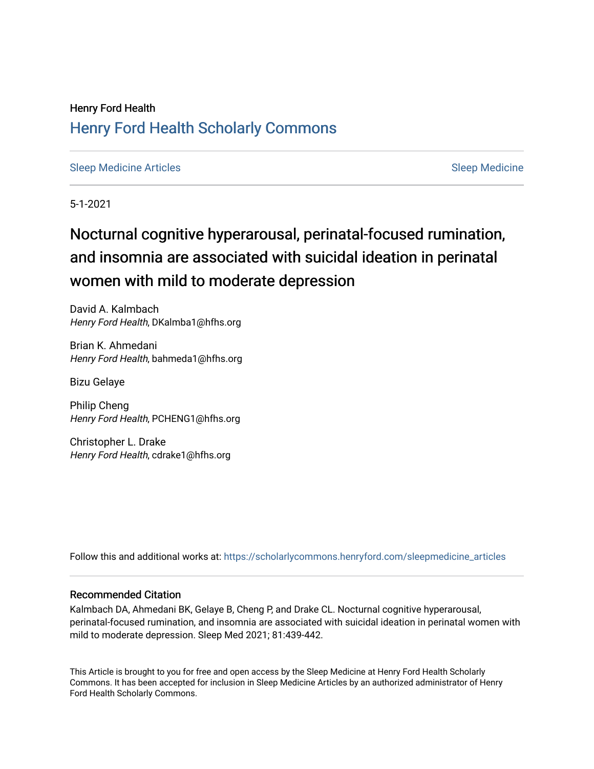## Henry Ford Health [Henry Ford Health Scholarly Commons](https://scholarlycommons.henryford.com/)

[Sleep Medicine Articles](https://scholarlycommons.henryford.com/sleepmedicine_articles) [Sleep Medicine](https://scholarlycommons.henryford.com/sleepmedicine) Sleep Medicine

5-1-2021

# Nocturnal cognitive hyperarousal, perinatal-focused rumination, and insomnia are associated with suicidal ideation in perinatal women with mild to moderate depression

David A. Kalmbach Henry Ford Health, DKalmba1@hfhs.org

Brian K. Ahmedani Henry Ford Health, bahmeda1@hfhs.org

Bizu Gelaye

Philip Cheng Henry Ford Health, PCHENG1@hfhs.org

Christopher L. Drake Henry Ford Health, cdrake1@hfhs.org

Follow this and additional works at: [https://scholarlycommons.henryford.com/sleepmedicine\\_articles](https://scholarlycommons.henryford.com/sleepmedicine_articles?utm_source=scholarlycommons.henryford.com%2Fsleepmedicine_articles%2F137&utm_medium=PDF&utm_campaign=PDFCoverPages) 

### Recommended Citation

Kalmbach DA, Ahmedani BK, Gelaye B, Cheng P, and Drake CL. Nocturnal cognitive hyperarousal, perinatal-focused rumination, and insomnia are associated with suicidal ideation in perinatal women with mild to moderate depression. Sleep Med 2021; 81:439-442.

This Article is brought to you for free and open access by the Sleep Medicine at Henry Ford Health Scholarly Commons. It has been accepted for inclusion in Sleep Medicine Articles by an authorized administrator of Henry Ford Health Scholarly Commons.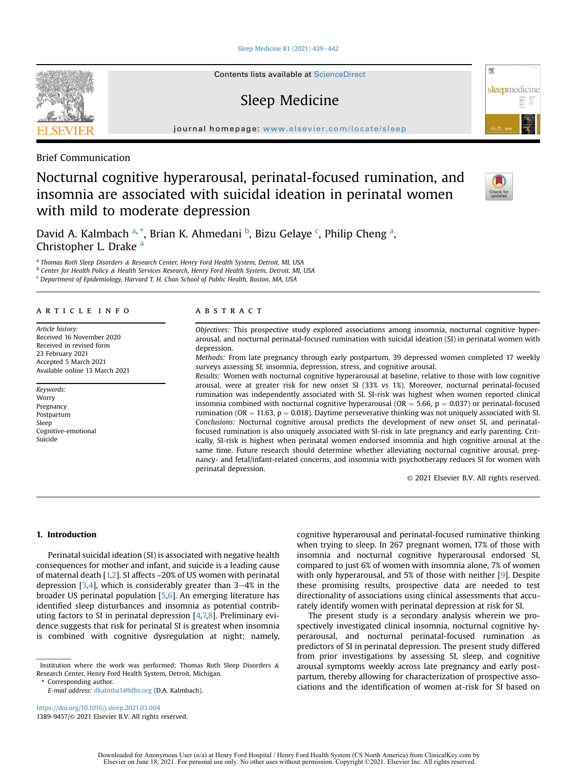[Sleep Medicine 81 \(2021\) 439](https://doi.org/10.1016/j.sleep.2021.03.004)-[442](https://doi.org/10.1016/j.sleep.2021.03.004)

Contents lists available at ScienceDirect

### Sleep Medicine

journal homepage: <www.elsevier.com/locate/sleep>



Brief Communication

### Nocturnal cognitive hyperarousal, perinatal-focused rumination, and insomnia are associated with suicidal ideation in perinatal women with mild to moderate depression



骤

sleepmedicine

D[a](#page-1-0)vid A. Kalmbach <sup>a, [\\*](#page-1-1)</sup>, Brian K. Ahmedani <sup>[b](#page-1-2)</sup>, Bizu Gelaye <sup>[c](#page-1-3)</sup>, Philip Cheng <sup>a</sup>, Christopher L. Drake [a](#page-1-0)

<span id="page-1-0"></span>a Thomas Roth Sleep Disorders & Research Center, Henry Ford Health System, Detroit, MI, USA

<span id="page-1-2"></span><sup>b</sup> Center for Health Policy & Health Services Research, Henry Ford Health System, Detroit, MI, USA

<span id="page-1-3"></span><sup>c</sup> Department of Epidemiology, Harvard T. H. Chan School of Public Health, Boston, MA, USA

#### article info

Article history: Received 16 November 2020 Received in revised form 23 February 2021 Accepted 5 March 2021 Available online 13 March 2021

Keywords: Worry Pregnancy Postpartum Sleep Cognitive-emotional Suicide

#### **ABSTRACT**

Objectives: This prospective study explored associations among insomnia, nocturnal cognitive hyperarousal, and nocturnal perinatal-focused rumination with suicidal ideation (SI) in perinatal women with depression.

Methods: From late pregnancy through early postpartum, 39 depressed women completed 17 weekly surveys assessing SI, insomnia, depression, stress, and cognitive arousal.

Results: Women with nocturnal cognitive hyperarousal at baseline, relative to those with low cognitive arousal, were at greater risk for new onset SI (33% vs 1%). Moreover, nocturnal perinatal-focused rumination was independently associated with SI. SI-risk was highest when women reported clinical insomnia combined with nocturnal cognitive hyperarousal ( $OR = 5.66$ ,  $p = 0.037$ ) or perinatal-focused rumination (OR = 11.63,  $p = 0.018$ ). Daytime perseverative thinking was not uniquely associated with SI. Conclusions: Nocturnal cognitive arousal predicts the development of new onset SI, and perinatalfocused rumination is also uniquely associated with SI-risk in late pregnancy and early parenting. Critically, SI-risk is highest when perinatal women endorsed insomnia and high cognitive arousal at the same time. Future research should determine whether alleviating nocturnal cognitive arousal, pregnancy- and fetal/infant-related concerns, and insomnia with psychotherapy reduces SI for women with perinatal depression.

© 2021 Elsevier B.V. All rights reserved.

#### 1. Introduction

Perinatal suicidal ideation (SI) is associated with negative health consequences for mother and infant, and suicide is a leading cause of maternal death [[1](#page-4-0)[,2](#page-4-1)]. SI affects ~20% of US women with perinatal depression  $[3,4]$  $[3,4]$  $[3,4]$  $[3,4]$ , which is considerably greater than  $3-4%$  in the broader US perinatal population [[5](#page-4-4)[,6](#page-4-5)]. An emerging literature has identified sleep disturbances and insomnia as potential contributing factors to SI in perinatal depression [\[4,](#page-4-3)[7,](#page-4-6)[8\]](#page-4-7). Preliminary evidence suggests that risk for perinatal SI is greatest when insomnia is combined with cognitive dysregulation at night; namely,

<span id="page-1-1"></span>\* Corresponding author.

E-mail address: [dkalmba1@hfhs.org](mailto:dkalmba1@hfhs.org) (D.A. Kalmbach).

<https://doi.org/10.1016/j.sleep.2021.03.004> 1389-9457/© 2021 Elsevier B.V. All rights reserved. cognitive hyperarousal and perinatal-focused ruminative thinking when trying to sleep. In 267 pregnant women, 17% of those with insomnia and nocturnal cognitive hyperarousal endorsed SI, compared to just 6% of women with insomnia alone, 7% of women with only hyperarousal, and 5% of those with neither [[9\]](#page-4-8). Despite these promising results, prospective data are needed to test directionality of associations using clinical assessments that accurately identify women with perinatal depression at risk for SI.

The present study is a secondary analysis wherein we prospectively investigated clinical insomnia, nocturnal cognitive hyperarousal, and nocturnal perinatal-focused rumination as predictors of SI in perinatal depression. The present study differed from prior investigations by assessing SI, sleep, and cognitive arousal symptoms weekly across late pregnancy and early postpartum, thereby allowing for characterization of prospective associations and the identification of women at-risk for SI based on

Institution where the work was performed: Thomas Roth Sleep Disorders & Research Center, Henry Ford Health System, Detroit, Michigan.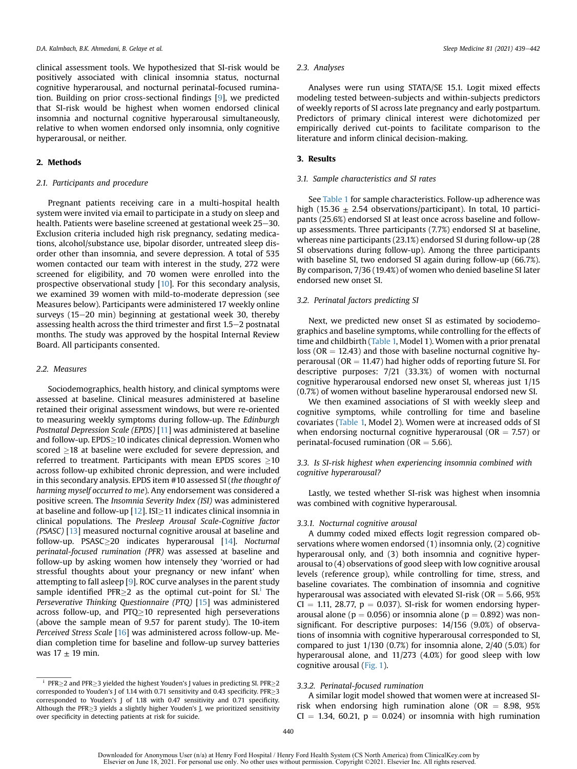clinical assessment tools. We hypothesized that SI-risk would be positively associated with clinical insomnia status, nocturnal cognitive hyperarousal, and nocturnal perinatal-focused rumination. Building on prior cross-sectional findings [[9\]](#page-4-8), we predicted that SI-risk would be highest when women endorsed clinical insomnia and nocturnal cognitive hyperarousal simultaneously, relative to when women endorsed only insomnia, only cognitive hyperarousal, or neither.

#### 2. Methods

#### 2.1. Participants and procedure

Pregnant patients receiving care in a multi-hospital health system were invited via email to participate in a study on sleep and health. Patients were baseline screened at gestational week 25–30. Exclusion criteria included high risk pregnancy, sedating medications, alcohol/substance use, bipolar disorder, untreated sleep disorder other than insomnia, and severe depression. A total of 535 women contacted our team with interest in the study, 272 were screened for eligibility, and 70 women were enrolled into the prospective observational study [[10\]](#page-4-9). For this secondary analysis, we examined 39 women with mild-to-moderate depression (see Measures below). Participants were administered 17 weekly online surveys (15 $-20$  min) beginning at gestational week 30, thereby assessing health across the third trimester and first  $1.5-2$  postnatal months. The study was approved by the hospital Internal Review Board. All participants consented.

#### 2.2. Measures

Sociodemographics, health history, and clinical symptoms were assessed at baseline. Clinical measures administered at baseline retained their original assessment windows, but were re-oriented to measuring weekly symptoms during follow-up. The Edinburgh Postnatal Depression Scale (EPDS) [\[11](#page-4-10)] was administered at baseline and follow-up.  $\text{EPDS}\geq 10$  indicates clinical depression. Women who scored  $\geq$ 18 at baseline were excluded for severe depression, and referred to treatment. Participants with mean EPDS scores  $\geq$ 10 across follow-up exhibited chronic depression, and were included in this secondary analysis. EPDS item #10 assessed SI (the thought of harming myself occurred to me). Any endorsement was considered a positive screen. The Insomnia Severity Index (ISI) was administered at baseline and follow-up [[12\]](#page-4-11). ISI $\geq$ 11 indicates clinical insomnia in clinical populations. The Presleep Arousal Scale-Cognitive factor (PSASC) [\[13](#page-4-12)] measured nocturnal cognitive arousal at baseline and follow-up. PSASC-20 indicates hyperarousal [\[14](#page-4-13)]. Nocturnal perinatal-focused rumination (PFR) was assessed at baseline and follow-up by asking women how intensely they 'worried or had stressful thoughts about your pregnancy or new infant' when attempting to fall asleep [[9](#page-4-8)]. ROC curve analyses in the parent study sample [i](#page-2-0)dentified  $PFR \geq 2$  as the optimal cut-point for  $SI^{\dagger}$ . The Perseverative Thinking Questionnaire (PTQ) [[15\]](#page-4-14) was administered across follow-up, and  $PTQ$  10 represented high perseverations (above the sample mean of 9.57 for parent study). The 10-item Perceived Stress Scale [[16\]](#page-4-15) was administered across follow-up. Median completion time for baseline and follow-up survey batteries was  $17 \pm 19$  min.

#### 2.3. Analyses

Analyses were run using STATA/SE 15.1. Logit mixed effects modeling tested between-subjects and within-subjects predictors of weekly reports of SI across late pregnancy and early postpartum. Predictors of primary clinical interest were dichotomized per empirically derived cut-points to facilitate comparison to the literature and inform clinical decision-making.

#### 3. Results

#### 3.1. Sample characteristics and SI rates

See [Table 1](#page-3-0) for sample characteristics. Follow-up adherence was high (15.36  $\pm$  2.54 observations/participant). In total, 10 participants (25.6%) endorsed SI at least once across baseline and followup assessments. Three participants (7.7%) endorsed SI at baseline, whereas nine participants (23.1%) endorsed SI during follow-up (28 SI observations during follow-up). Among the three participants with baseline SI, two endorsed SI again during follow-up (66.7%). By comparison, 7/36 (19.4%) of women who denied baseline SI later endorsed new onset SI.

#### 3.2. Perinatal factors predicting SI

Next, we predicted new onset SI as estimated by sociodemographics and baseline symptoms, while controlling for the effects of time and childbirth [\(Table 1,](#page-3-0) Model 1). Women with a prior prenatal loss ( $OR = 12.43$ ) and those with baseline nocturnal cognitive hyperarousal ( $OR = 11.47$ ) had higher odds of reporting future SI. For descriptive purposes: 7/21 (33.3%) of women with nocturnal cognitive hyperarousal endorsed new onset SI, whereas just 1/15 (0.7%) of women without baseline hyperarousal endorsed new SI.

We then examined associations of SI with weekly sleep and cognitive symptoms, while controlling for time and baseline covariates ([Table 1,](#page-3-0) Model 2). Women were at increased odds of SI when endorsing nocturnal cognitive hyperarousal ( $OR = 7.57$ ) or perinatal-focused rumination ( $OR = 5.66$ ).

#### 3.3. Is SI-risk highest when experiencing insomnia combined with cognitive hyperarousal?

Lastly, we tested whether SI-risk was highest when insomnia was combined with cognitive hyperarousal.

#### 3.3.1. Nocturnal cognitive arousal

A dummy coded mixed effects logit regression compared observations where women endorsed (1) insomnia only, (2) cognitive hyperarousal only, and (3) both insomnia and cognitive hyperarousal to (4) observations of good sleep with low cognitive arousal levels (reference group), while controlling for time, stress, and baseline covariates. The combination of insomnia and cognitive hyperarousal was associated with elevated SI-risk ( $OR = 5.66$ ,  $95\%$  $CI = 1.11, 28.77, p = 0.037$ . SI-risk for women endorsing hyperarousal alone ( $p = 0.056$ ) or insomnia alone ( $p = 0.892$ ) was nonsignificant. For descriptive purposes: 14/156 (9.0%) of observations of insomnia with cognitive hyperarousal corresponded to SI, compared to just 1/130 (0.7%) for insomnia alone, 2/40 (5.0%) for hyperarousal alone, and 11/273 (4.0%) for good sleep with low cognitive arousal [\(Fig. 1](#page-3-1)).

#### 3.3.2. Perinatal-focused rumination

A similar logit model showed that women were at increased SIrisk when endorsing high rumination alone (OR  $=$  8.98, 95%  $CI = 1.34, 60.21, p = 0.024$  or insomnia with high rumination

<span id="page-2-0"></span> $\frac{1}{2}$  PFR $\geq$  2 and PFR $\geq$  3 yielded the highest Youden's J values in predicting SI. PFR $\geq$  2 corresponded to Youden's J of 1.14 with 0.71 sensitivity and 0.43 specificity.  $PFR \ge 3$ corresponded to Youden's J of 1.18 with 0.47 sensitivity and 0.71 specificity. Although the  $PFR \geq 3$  yields a slightly higher Youden's J, we prioritized sensitivity over specificity in detecting patients at risk for suicide.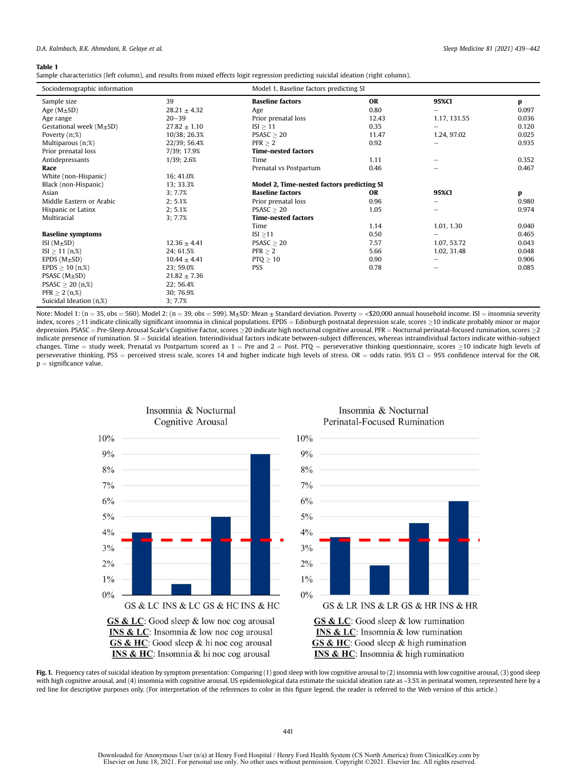#### <span id="page-3-0"></span>Table 1

Sample characteristics (left column), and results from mixed effects logit regression predicting suicidal ideation (right column).

| Sociodemographic information  |                  |                                            | Model 1, Baseline factors predicting SI |              |       |  |
|-------------------------------|------------------|--------------------------------------------|-----------------------------------------|--------------|-------|--|
| Sample size                   | 39               | <b>Baseline factors</b>                    | <b>OR</b>                               | 95%CI        | p     |  |
| Age $(M \pm SD)$              | $28.21 \pm 4.32$ | Age                                        | 0.80                                    | -            | 0.097 |  |
| Age range                     | $20 - 39$        | Prior prenatal loss                        | 12.43                                   | 1.17, 131.55 | 0.036 |  |
| Gestational week $(M \pm SD)$ | $27.82 \pm 1.10$ | $ISI \geq 11$                              | 0.35                                    |              | 0.120 |  |
| Poverty $(n;\%)$              | 10/38; 26.3%     | PSASC > 20                                 | 11.47                                   | 1.24, 97.02  | 0.025 |  |
| Multiparous (n;%)             | 22/39; 56.4%     | $PFR \geq 2$                               | 0.92                                    | -            | 0.935 |  |
| Prior prenatal loss           | 7/39; 17.9%      | <b>Time-nested factors</b>                 |                                         |              |       |  |
| Antidepressants               | 1/39; 2.6%       | Time                                       | 1.11                                    |              | 0.352 |  |
| Race                          |                  | Prenatal vs Postpartum                     | 0.46                                    |              | 0.467 |  |
| White (non-Hispanic)          | 16:41.0%         |                                            |                                         |              |       |  |
| Black (non-Hispanic)          | 13; 33.3%        | Model 2, Time-nested factors predicting SI |                                         |              |       |  |
| Asian                         | 3:7.7%           | <b>Baseline factors</b>                    | <b>OR</b>                               | 95%CI        | p     |  |
| Middle Eastern or Arabic      | 2:5.1%           | Prior prenatal loss                        | 0.96                                    |              | 0.980 |  |
| Hispanic or Latinx            | 2; 5.1%          | PSASC > 20                                 | 1.05                                    | -            | 0.974 |  |
| Multiracial                   | 3:7.7%           | <b>Time-nested factors</b>                 |                                         |              |       |  |
|                               |                  | Time                                       | 1.14                                    | 1.01, 1.30   | 0.040 |  |
| <b>Baseline symptoms</b>      |                  | ISI $\geq$ 11                              | 0.50                                    |              | 0.465 |  |
| ISI $(M \pm SD)$              | $12.36 \pm 4.41$ | PSASC > 20                                 | 7.57                                    | 1.07, 53.72  | 0.043 |  |
| $ISI \ge 11$ (n,%)            | 24; 61.5%        | PFR > 2                                    | 5.66                                    | 1.02, 31.48  | 0.048 |  |
| EPDS $(M \pm SD)$             | $10.44 \pm 4.41$ | $PTQ \geq 10$                              | 0.90                                    |              | 0.906 |  |
| $EPDS \ge 10$ (n,%)           | 23; 59.0%        | PSS                                        | 0.78                                    | -            | 0.085 |  |
| PSASC $(M \pm SD)$            | $21.82 \pm 7.36$ |                                            |                                         |              |       |  |
| PSASC $\geq$ 20 (n,%)         | 22; 56.4%        |                                            |                                         |              |       |  |
| $PFR \ge 2 (n,%)$             | 30; 76.9%        |                                            |                                         |              |       |  |
| Suicidal Ideation (n,%)       | 3:7.7%           |                                            |                                         |              |       |  |

Note: Model 1: (n = 35, obs = 560). Model 2: (n = 39, obs = 599). M±SD: Mean  $\pm$  Standard deviation. Poverty = <\$20,000 annual household income. ISI = insomnia severity index, scores  $\geq$ 11 indicate clinically significant insomnia in clinical populations. EPDS = Edinburgh postnatal depression scale, scores  $\geq$ 10 indicate probably minor or major depression. PSASC = Pre-Sleep Arousal Scale's Cognitive Factor, scores  $\geq$ 20 indicate high nocturnal cognitive arousal. PFR = Nocturnal perinatal-focused rumination, scores  $\geq$ 2 indicate presence of rumination. SI = Suicidal ideation. Interindividual factors indicate between-subject differences, whereas intraindividual factors indicate within-subject changes. Time = study week. Prenatal vs Postpartum scored as  $1 = \text{Pre}$  and  $2 = \text{Post}$ . PTQ = perseverative thinking questionnaire, scores  $\geq$ 10 indicate high levels of perseverative thinking. PSS = perceived stress scale, scores 14 and higher indicate high levels of stress. OR = odds ratio. 95% CI = 95% confidence interval for the OR.  $p =$  significance value.

<span id="page-3-1"></span>





GS & LC: Good sleep & low rumination **INS & LC**: Insomnia & low rumination  $GS & HC$ : Good sleep & high rumination **INS & HC**: Insomnia & high rumination

Fig. 1. Frequency rates of suicidal ideation by symptom presentation: Comparing (1) good sleep with low cognitive arousal to (2) insomnia with low cognitive arousal, (3) good sleep with high cognitive arousal, and (4) insomnia with cognitive arousal. US epidemiological data estimate the suicidal ideation rate as ~3.5% in perinatal women, represented here by a red line for descriptive purposes only. (For interpretation of the references to color in this figure legend, the reader is referred to the Web version of this article.)